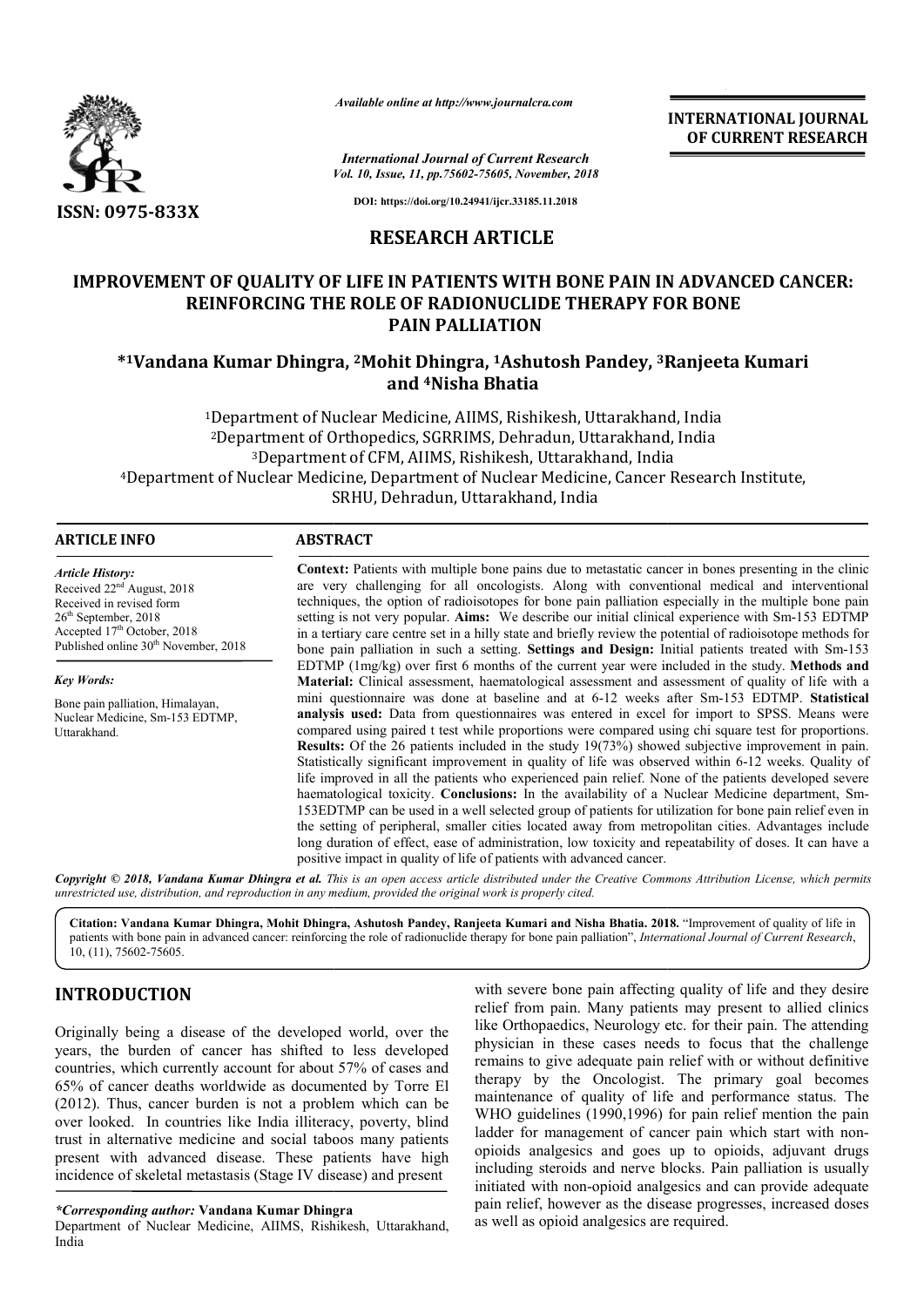

*Available online at http://www.journalcra.com*

*Vol. 10, Issue, 11, pp.75602-75605, November, 2018 International Journal of Current Research*

**INTERNATIONAL JOURNAL OF CURRENT RESEARCH**

**DOI: https://doi.org/10.24941/ijcr.33185.11.2018**

# **RESEARCH ARTICLE**

# **IMPROVEMENT OF QUALITY OF LIFE IN PATIENTS WITH BONE PAIN IN ADVANCED CANCER: REINFORCING THE ROLE OF RADIONUCLIDE THERAPY FOR BONE PAIN PALLIATION**

## **\*1Vandana Kumar Dhingra, 2Mohit Dhingra, 1Ashutosh Pandey, 3Ranjeeta Ranjeeta Kumari and 4Nisha Bhatia**

<sup>1</sup>Department of Nuclear Medicine, AIIMS, Rishikesh, Uttarakhand, India 2Department of Orthopedics, SGRRIMS, Dehradun, Uttarakhand, India 3Department Department of CFM, AIIMS, Rishikesh, Uttarakhand, India 4Department of Nuclear Medicine, Department of Nuclear Medicine, Cancer Research Institute, SRHU, Dehradun, Uttarakhand, India

| <b>ARTICLE INFO</b>                                                                                                                                                                                             | <b>ABSTRACT</b>                                                                                                                                                                                                                                                                                                                                                                                                                                                                                                                                                                                                                                                                                                                                                                                                                                                                                                                                                                                                                                                                                                                         |  |  |
|-----------------------------------------------------------------------------------------------------------------------------------------------------------------------------------------------------------------|-----------------------------------------------------------------------------------------------------------------------------------------------------------------------------------------------------------------------------------------------------------------------------------------------------------------------------------------------------------------------------------------------------------------------------------------------------------------------------------------------------------------------------------------------------------------------------------------------------------------------------------------------------------------------------------------------------------------------------------------------------------------------------------------------------------------------------------------------------------------------------------------------------------------------------------------------------------------------------------------------------------------------------------------------------------------------------------------------------------------------------------------|--|--|
| Article History:<br>Received 22 <sup>nd</sup> August, 2018<br>Received in revised form<br>$26th$ September, 2018<br>Accepted 17 <sup>th</sup> October, 2018<br>Published online 30 <sup>th</sup> November, 2018 | <b>Context:</b> Patients with multiple bone pains due to metastatic cancer in bones presenting in the clinic<br>are very challenging for all oncologists. Along with conventional medical and interventional<br>techniques, the option of radioisotopes for bone pain palliation especially in the multiple bone pain<br>setting is not very popular. Aims: We describe our initial clinical experience with Sm-153 EDTMP<br>in a tertiary care centre set in a hilly state and briefly review the potential of radioisotope methods for<br>bone pain palliation in such a setting. Settings and Design: Initial patients treated with Sm-153                                                                                                                                                                                                                                                                                                                                                                                                                                                                                           |  |  |
|                                                                                                                                                                                                                 | EDTMP $(1mg/kg)$ over first 6 months of the current year were included in the study. Methods and                                                                                                                                                                                                                                                                                                                                                                                                                                                                                                                                                                                                                                                                                                                                                                                                                                                                                                                                                                                                                                        |  |  |
| Key Words:                                                                                                                                                                                                      | Material: Clinical assessment, haematological assessment and assessment of quality of life with a                                                                                                                                                                                                                                                                                                                                                                                                                                                                                                                                                                                                                                                                                                                                                                                                                                                                                                                                                                                                                                       |  |  |
| Bone pain palliation, Himalayan,<br>Nuclear Medicine, Sm-153 EDTMP,<br>Uttarakhand.                                                                                                                             | mini questionnaire was done at baseline and at 6-12 weeks after Sm-153 EDTMP. Statistical<br><b>analysis used:</b> Data from questionnaires was entered in excel for import to SPSS. Means were<br>compared using paired t test while proportions were compared using chi square test for proportions.<br><b>Results:</b> Of the 26 patients included in the study 19(73%) showed subjective improvement in pain.<br>Statistically significant improvement in quality of life was observed within 6-12 weeks. Quality of<br>life improved in all the patients who experienced pain relief. None of the patients developed severe<br>haematological toxicity. Conclusions: In the availability of a Nuclear Medicine department, Sm-<br>153EDTMP can be used in a well selected group of patients for utilization for bone pain relief even in<br>the setting of peripheral, smaller cities located away from metropolitan cities. Advantages include<br>long duration of effect, ease of administration, low toxicity and repeatability of doses. It can have a<br>positive impact in quality of life of patients with advanced cancer. |  |  |

Copyright © 2018, Vandana Kumar Dhingra et al. This is an open access article distributed under the Creative Commons Attribution License, which permits *unrestricted use, distribution, and reproduction in any medium, provided the original work is properly cited.*

Citation: Vandana Kumar Dhingra, Mohit Dhingra, Ashutosh Pandey, Ranjeeta Kumari and Nisha Bhatia. 2018. "Improvement of quality of life in patients with bone pain in advanced cancer: reinforcing the role of radionuclide therapy for bone pain palliation", *International Journal of Current Research*,  $10, (11), 75602 - 75605.$ 

# **INTRODUCTION**

Originally being a disease of the developed world, over the years, the burden of cancer has shifted to less developed countries, which currently account for about 57% of cases and 65% of cancer deaths worldwide as documented by Torre El (2012). Thus, cancer burden is not a problem which can be over looked. In countries like India illiteracy, poverty, blind trust in alternative medicine and social taboos many patients present with advanced disease. These patients have high incidence of skeletal metastasis (Stage IV disease) and present

*\*Corresponding author:* **Vandana Kumar Dhingra**

Department of Nuclear Medicine, AIIMS, Rishikesh, Uttarakhand, India

with severe bone pain affecting quality of life and they desire relief from pain. Many patients may present to allied clinics like Orthopaedics, Neurology etc. for their pain. The attending physician in these cases needs to focus that the challenge remains to give adequate pain relief with or without definitive therapy by the Oncologist. The primary goal becomes maintenance of quality of life and performance status. The WHO guidelines (1990,1996) for pain relief mention the pain ladder for management of cancer pain which start with nonopioids analgesics and goes up to opioids, adjuvant drugs including steroids and nerve blocks. Pain palliation is usually initiated with non-opioid analgesics and can provide adequate pain relief, however as the disease progresses, increased doses as well as opioid analgesics are required.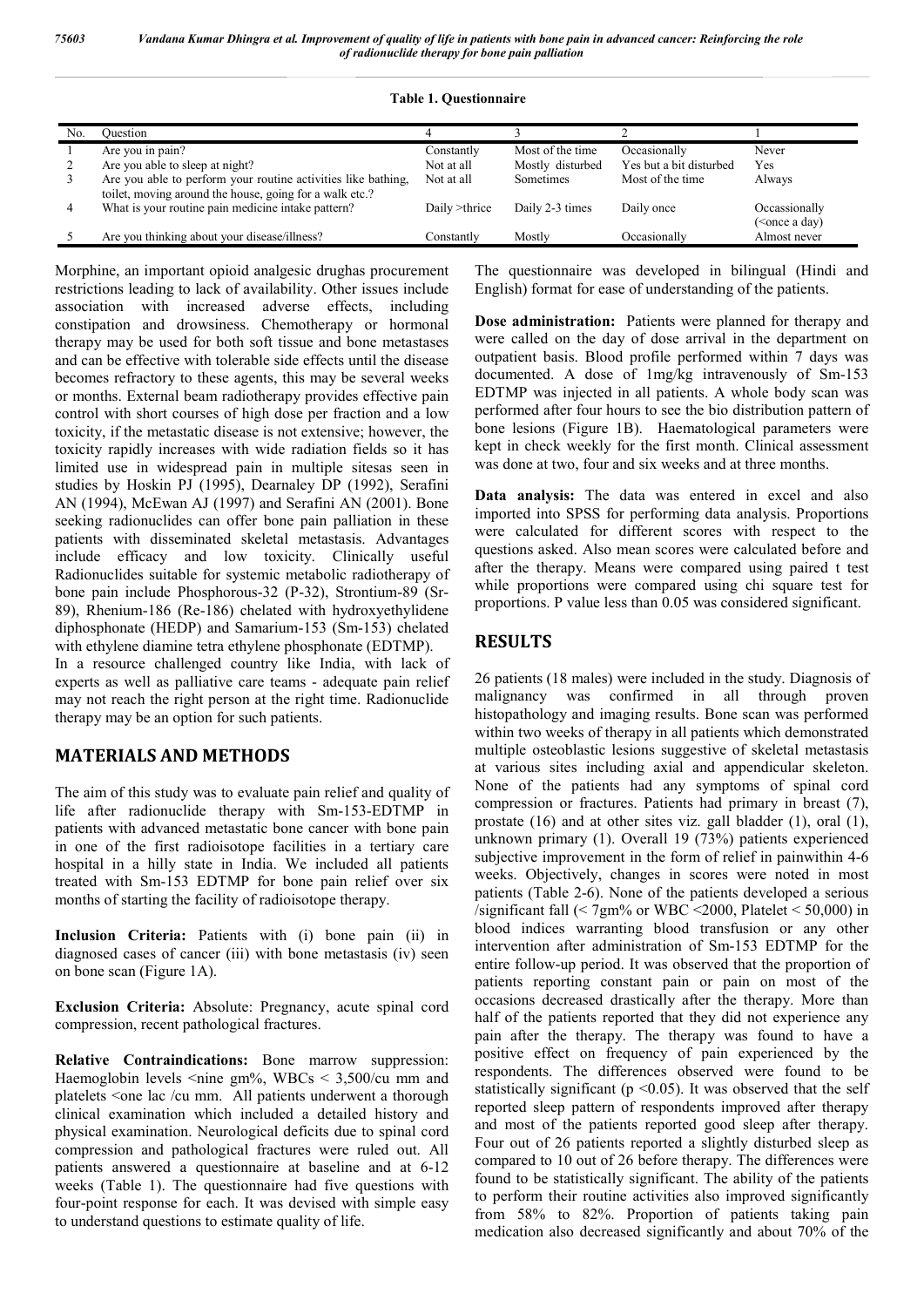|  |  | <b>Table 1. Questionnaire</b> |  |
|--|--|-------------------------------|--|
|--|--|-------------------------------|--|

| No. | Ouestion                                                      |               |                   |                         |                                     |
|-----|---------------------------------------------------------------|---------------|-------------------|-------------------------|-------------------------------------|
|     | Are you in pain?                                              | Constantly    | Most of the time. | Occasionally            | Never                               |
|     | Are you able to sleep at night?                               | Not at all    | Mostly disturbed  | Yes but a bit disturbed | Yes                                 |
|     | Are you able to perform your routine activities like bathing, | Not at all    | <b>Sometimes</b>  | Most of the time.       | Always                              |
|     | toilet, moving around the house, going for a walk etc.?       |               |                   |                         |                                     |
| 4   | What is your routine pain medicine intake pattern?            | Daily >thrice | Daily 2-3 times   | Daily once              | Occassionally                       |
|     |                                                               |               |                   |                         | ( <once a="" day)<="" td=""></once> |
|     | Are you thinking about your disease/illness?                  | Constantly    | Mostly            | Occasionally            | Almost never                        |

Morphine, an important opioid analgesic drughas procurement restrictions leading to lack of availability. Other issues include association with increased adverse effects, including constipation and drowsiness. Chemotherapy or hormonal therapy may be used for both soft tissue and bone metastases and can be effective with tolerable side effects until the disease becomes refractory to these agents, this may be several weeks or months. External beam radiotherapy provides effective pain control with short courses of high dose per fraction and a low toxicity, if the metastatic disease is not extensive; however, the toxicity rapidly increases with wide radiation fields so it has limited use in widespread pain in multiple sitesas seen in studies by Hoskin PJ (1995), Dearnaley DP (1992), Serafini AN (1994), McEwan AJ (1997) and Serafini AN (2001). Bone seeking radionuclides can offer bone pain palliation in these patients with disseminated skeletal metastasis. Advantages include efficacy and low toxicity. Clinically useful Radionuclides suitable for systemic metabolic radiotherapy of bone pain include Phosphorous-32 (P-32), Strontium-89 (Sr-89), Rhenium-186 (Re-186) chelated with hydroxyethylidene diphosphonate (HEDP) and Samarium-153 (Sm-153) chelated with ethylene diamine tetra ethylene phosphonate (EDTMP). In a resource challenged country like India, with lack of experts as well as palliative care teams - adequate pain relief may not reach the right person at the right time. Radionuclide therapy may be an option for such patients.

### **MATERIALS AND METHODS**

The aim of this study was to evaluate pain relief and quality of life after radionuclide therapy with Sm-153-EDTMP in patients with advanced metastatic bone cancer with bone pain in one of the first radioisotope facilities in a tertiary care hospital in a hilly state in India. We included all patients treated with Sm-153 EDTMP for bone pain relief over six months of starting the facility of radioisotope therapy.

**Inclusion Criteria:** Patients with (i) bone pain (ii) in diagnosed cases of cancer (iii) with bone metastasis (iv) seen on bone scan (Figure 1A).

**Exclusion Criteria:** Absolute: Pregnancy, acute spinal cord compression, recent pathological fractures.

**Relative Contraindications:** Bone marrow suppression: Haemoglobin levels  $\leq$ nine gm%, WBCs  $\leq$  3,500/cu mm and platelets <one lac /cu mm. All patients underwent a thorough clinical examination which included a detailed history and physical examination. Neurological deficits due to spinal cord compression and pathological fractures were ruled out. All patients answered a questionnaire at baseline and at 6-12 weeks (Table 1). The questionnaire had five questions with four-point response for each. It was devised with simple easy to understand questions to estimate quality of life.

The questionnaire was developed in bilingual (Hindi and English) format for ease of understanding of the patients.

**Dose administration:** Patients were planned for therapy and were called on the day of dose arrival in the department on outpatient basis. Blood profile performed within 7 days was documented. A dose of 1mg/kg intravenously of Sm-153 EDTMP was injected in all patients. A whole body scan was performed after four hours to see the bio distribution pattern of bone lesions (Figure 1B). Haematological parameters were kept in check weekly for the first month. Clinical assessment was done at two, four and six weeks and at three months.

**Data analysis:** The data was entered in excel and also imported into SPSS for performing data analysis. Proportions were calculated for different scores with respect to the questions asked. Also mean scores were calculated before and after the therapy. Means were compared using paired t test while proportions were compared using chi square test for proportions. P value less than 0.05 was considered significant.

# **RESULTS**

26 patients (18 males) were included in the study. Diagnosis of malignancy was confirmed in all through proven histopathology and imaging results. Bone scan was performed within two weeks of therapy in all patients which demonstrated multiple osteoblastic lesions suggestive of skeletal metastasis at various sites including axial and appendicular skeleton. None of the patients had any symptoms of spinal cord compression or fractures. Patients had primary in breast (7), prostate (16) and at other sites viz. gall bladder (1), oral (1), unknown primary (1). Overall 19 (73%) patients experienced subjective improvement in the form of relief in painwithin 4-6 weeks. Objectively, changes in scores were noted in most patients (Table 2-6). None of the patients developed a serious /significant fall  $(< 7gm%$  or WBC <2000, Platelet < 50,000) in blood indices warranting blood transfusion or any other intervention after administration of Sm-153 EDTMP for the entire follow-up period. It was observed that the proportion of patients reporting constant pain or pain on most of the occasions decreased drastically after the therapy. More than half of the patients reported that they did not experience any pain after the therapy. The therapy was found to have a positive effect on frequency of pain experienced by the respondents. The differences observed were found to be statistically significant ( $p \le 0.05$ ). It was observed that the self reported sleep pattern of respondents improved after therapy and most of the patients reported good sleep after therapy. Four out of 26 patients reported a slightly disturbed sleep as compared to 10 out of 26 before therapy. The differences were found to be statistically significant. The ability of the patients to perform their routine activities also improved significantly from 58% to 82%. Proportion of patients taking pain medication also decreased significantly and about 70% of the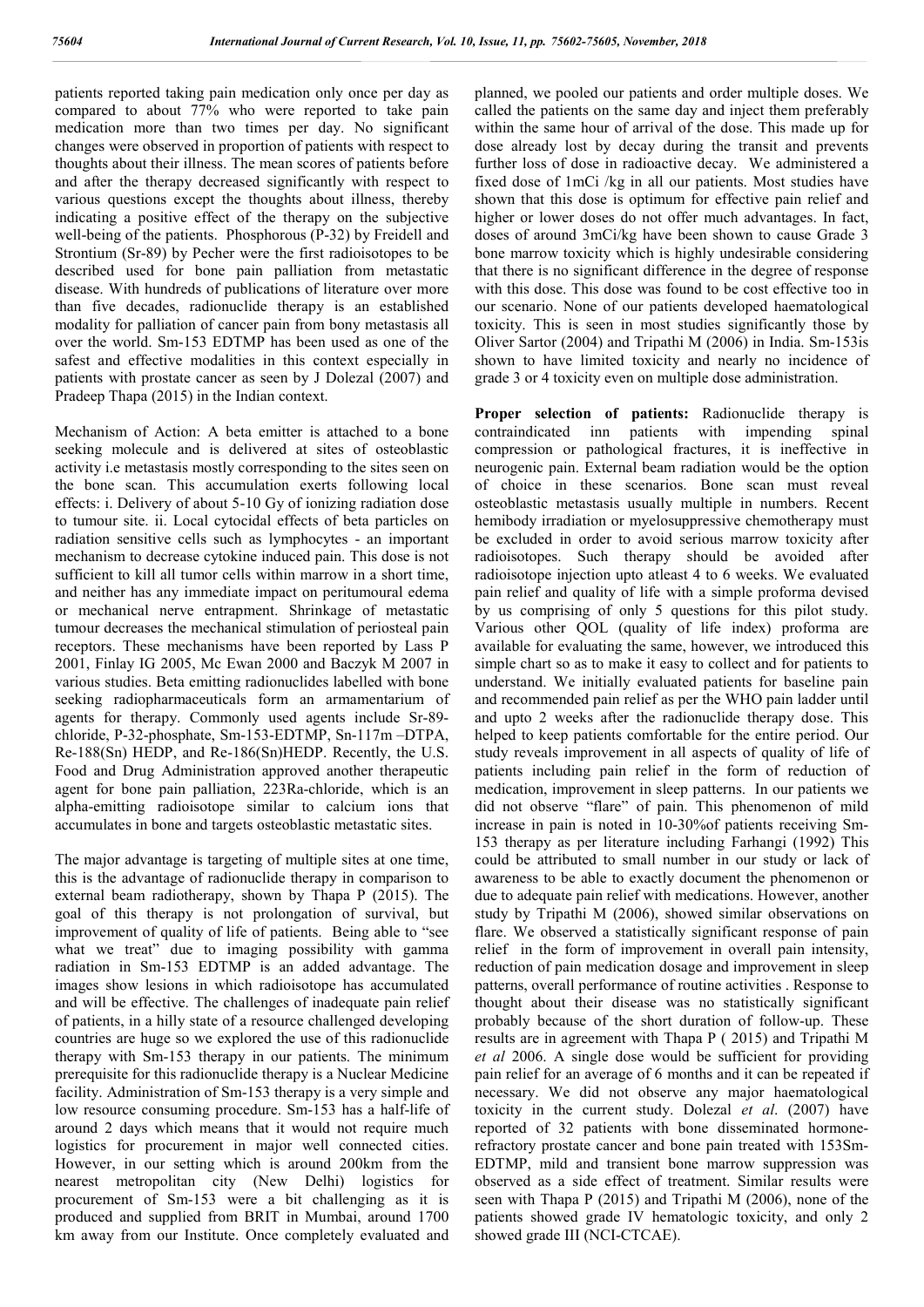patients reported taking pain medication only once per day as compared to about 77% who were reported to take pain medication more than two times per day. No significant changes were observed in proportion of patients with respect to thoughts about their illness. The mean scores of patients before and after the therapy decreased significantly with respect to various questions except the thoughts about illness, thereby indicating a positive effect of the therapy on the subjective well-being of the patients. Phosphorous (P-32) by Freidell and Strontium (Sr-89) by Pecher were the first radioisotopes to be described used for bone pain palliation from metastatic disease. With hundreds of publications of literature over more than five decades, radionuclide therapy is an established modality for palliation of cancer pain from bony metastasis all over the world. Sm-153 EDTMP has been used as one of the safest and effective modalities in this context especially in patients with prostate cancer as seen by J Dolezal (2007) and Pradeep Thapa (2015) in the Indian context.

Mechanism of Action: A beta emitter is attached to a bone seeking molecule and is delivered at sites of osteoblastic activity i.e metastasis mostly corresponding to the sites seen on the bone scan. This accumulation exerts following local effects: i. Delivery of about 5-10 Gy of ionizing radiation dose to tumour site. ii. Local cytocidal effects of beta particles on radiation sensitive cells such as lymphocytes - an important mechanism to decrease cytokine induced pain. This dose is not sufficient to kill all tumor cells within marrow in a short time, and neither has any immediate impact on peritumoural edema or mechanical nerve entrapment. Shrinkage of metastatic tumour decreases the mechanical stimulation of periosteal pain receptors. These mechanisms have been reported by Lass P 2001, Finlay IG 2005, Mc Ewan 2000 and Baczyk M 2007 in various studies. Beta emitting radionuclides labelled with bone seeking radiopharmaceuticals form an armamentarium of agents for therapy. Commonly used agents include Sr-89 chloride, P-32-phosphate, Sm-153-EDTMP, Sn-117m –DTPA, Re-188(Sn) HEDP, and Re-186(Sn)HEDP. Recently, the U.S. Food and Drug Administration approved another therapeutic agent for bone pain palliation, 223Ra-chloride, which is an alpha-emitting radioisotope similar to calcium ions that accumulates in bone and targets osteoblastic metastatic sites.

The major advantage is targeting of multiple sites at one time, this is the advantage of radionuclide therapy in comparison to external beam radiotherapy, shown by Thapa P (2015). The goal of this therapy is not prolongation of survival, but improvement of quality of life of patients. Being able to "see what we treat" due to imaging possibility with gamma radiation in Sm-153 EDTMP is an added advantage. The images show lesions in which radioisotope has accumulated and will be effective. The challenges of inadequate pain relief of patients, in a hilly state of a resource challenged developing countries are huge so we explored the use of this radionuclide therapy with Sm-153 therapy in our patients. The minimum prerequisite for this radionuclide therapy is a Nuclear Medicine facility. Administration of Sm-153 therapy is a very simple and low resource consuming procedure. Sm-153 has a half-life of around 2 days which means that it would not require much logistics for procurement in major well connected cities. However, in our setting which is around 200km from the nearest metropolitan city (New Delhi) logistics for procurement of Sm-153 were a bit challenging as it is produced and supplied from BRIT in Mumbai, around 1700 km away from our Institute. Once completely evaluated and

planned, we pooled our patients and order multiple doses. We called the patients on the same day and inject them preferably within the same hour of arrival of the dose. This made up for dose already lost by decay during the transit and prevents further loss of dose in radioactive decay. We administered a fixed dose of 1mCi /kg in all our patients. Most studies have shown that this dose is optimum for effective pain relief and higher or lower doses do not offer much advantages. In fact, doses of around 3mCi/kg have been shown to cause Grade 3 bone marrow toxicity which is highly undesirable considering that there is no significant difference in the degree of response with this dose. This dose was found to be cost effective too in our scenario. None of our patients developed haematological toxicity. This is seen in most studies significantly those by Oliver Sartor (2004) and Tripathi M (2006) in India. Sm-153is shown to have limited toxicity and nearly no incidence of grade 3 or 4 toxicity even on multiple dose administration.

**Proper selection of patients:** Radionuclide therapy is contraindicated inn patients with impending spinal compression or pathological fractures, it is ineffective in neurogenic pain. External beam radiation would be the option of choice in these scenarios. Bone scan must reveal osteoblastic metastasis usually multiple in numbers. Recent hemibody irradiation or myelosuppressive chemotherapy must be excluded in order to avoid serious marrow toxicity after radioisotopes. Such therapy should be avoided after radioisotope injection upto atleast 4 to 6 weeks. We evaluated pain relief and quality of life with a simple proforma devised by us comprising of only 5 questions for this pilot study. Various other QOL (quality of life index) proforma are available for evaluating the same, however, we introduced this simple chart so as to make it easy to collect and for patients to understand. We initially evaluated patients for baseline pain and recommended pain relief as per the WHO pain ladder until and upto 2 weeks after the radionuclide therapy dose. This helped to keep patients comfortable for the entire period. Our study reveals improvement in all aspects of quality of life of patients including pain relief in the form of reduction of medication, improvement in sleep patterns. In our patients we did not observe "flare" of pain. This phenomenon of mild increase in pain is noted in 10-30%of patients receiving Sm-153 therapy as per literature including Farhangi (1992) This could be attributed to small number in our study or lack of awareness to be able to exactly document the phenomenon or due to adequate pain relief with medications. However, another study by Tripathi M (2006), showed similar observations on flare. We observed a statistically significant response of pain relief in the form of improvement in overall pain intensity, reduction of pain medication dosage and improvement in sleep patterns, overall performance of routine activities . Response to thought about their disease was no statistically significant probably because of the short duration of follow-up. These results are in agreement with Thapa P ( 2015) and Tripathi M *et al* 2006. A single dose would be sufficient for providing pain relief for an average of 6 months and it can be repeated if necessary. We did not observe any major haematological toxicity in the current study. Dolezal *et al*. (2007) have reported of 32 patients with bone disseminated hormonerefractory prostate cancer and bone pain treated with 153Sm-EDTMP, mild and transient bone marrow suppression was observed as a side effect of treatment. Similar results were seen with Thapa P (2015) and Tripathi M (2006), none of the patients showed grade IV hematologic toxicity, and only 2 showed grade III (NCI-CTCAE).